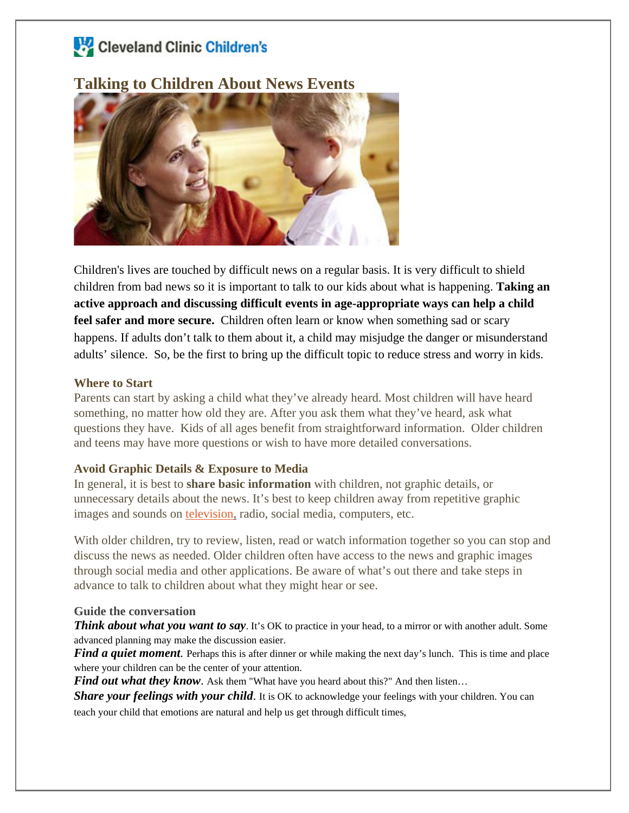# Cleveland Clinic Children's

# **Talking to Children About News Events**



Children's lives are touched by difficult news on a regular basis. It is very difficult to shield children from bad news so it is important to talk to our kids about what is happening. **Taking an active approach and discussing difficult events in age-appropriate ways can help a child feel safer and more secure.** Children often learn or know when something sad or scary happens. If adults don't talk to them about it, a child may misjudge the danger or misunderstand adults' silence. So, be the first to bring up the difficult topic to reduce stress and worry in kids.

#### **Where to Start**

Parents can start by asking a child what they've already heard. Most children will have heard something, no matter how old they are. After you ask them what they've heard, ask what questions they have. Kids of all ages benefit from straightforward information. Older children and teens may have more questions or wish to have more detailed conversations.

#### **Avoid Graphic Details & Exposure to Media**

In general, it is best to **share basic information** with children, not graphic details, or unnecessary details about the news. It's best to keep children away from repetitive graphic images and sounds on [television,](https://www.healthychildren.org/English/family-life/Media/pages/Pulling-the-Plug-on-TV-Violence.aspx) radio, social media, computers, etc.

With older children, try to review, listen, read or watch information together so you can stop and discuss the news as needed. Older children often have access to the news and graphic images through social media and other applications. Be aware of what's out there and take steps in advance to talk to children about what they might hear or see.

#### **Guide the conversation**

*Think about what you want to say*. It's OK to practice in your head, to a mirror or with another adult. Some advanced planning may make the discussion easier.

*Find a quiet moment*. Perhaps this is after dinner or while making the next day's lunch. This is time and place where your children can be the center of your attention.

*Find out what they know.* Ask them "What have you heard about this?" And then listen...

*Share your feelings with your child.* It is OK to acknowledge your feelings with your children. You can teach your child that emotions are natural and help us get through difficult times,